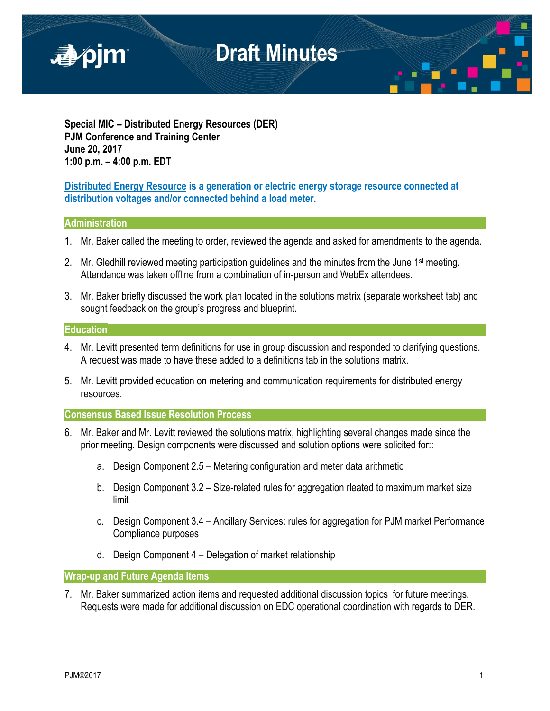

**Special MIC – Distributed Energy Resources (DER) PJM Conference and Training Center June 20, 2017 1:00 p.m. – 4:00 p.m. EDT**

**Distributed Energy Resource is a generation or electric energy storage resource connected at distribution voltages and/or connected behind a load meter.**

### **Administration**

- 1. Mr. Baker called the meeting to order, reviewed the agenda and asked for amendments to the agenda.
- 2. Mr. Gledhill reviewed meeting participation guidelines and the minutes from the June 1<sup>st</sup> meeting. Attendance was taken offline from a combination of in-person and WebEx attendees.
- 3. Mr. Baker briefly discussed the work plan located in the solutions matrix (separate worksheet tab) and sought feedback on the group's progress and blueprint.

#### **Education**

- 4. Mr. Levitt presented term definitions for use in group discussion and responded to clarifying questions. A request was made to have these added to a definitions tab in the solutions matrix.
- 5. Mr. Levitt provided education on metering and communication requirements for distributed energy resources.

### **Consensus Based Issue Resolution Process**

- 6. Mr. Baker and Mr. Levitt reviewed the solutions matrix, highlighting several changes made since the prior meeting. Design components were discussed and solution options were solicited for::
	- a. Design Component 2.5 Metering configuration and meter data arithmetic
	- b. Design Component 3.2 Size-related rules for aggregation rleated to maximum market size limit
	- c. Design Component 3.4 Ancillary Services: rules for aggregation for PJM market Performance Compliance purposes
	- d. Design Component 4 Delegation of market relationship

**Wrap-up and Future Agenda Items** 

7. Mr. Baker summarized action items and requested additional discussion topics for future meetings. Requests were made for additional discussion on EDC operational coordination with regards to DER.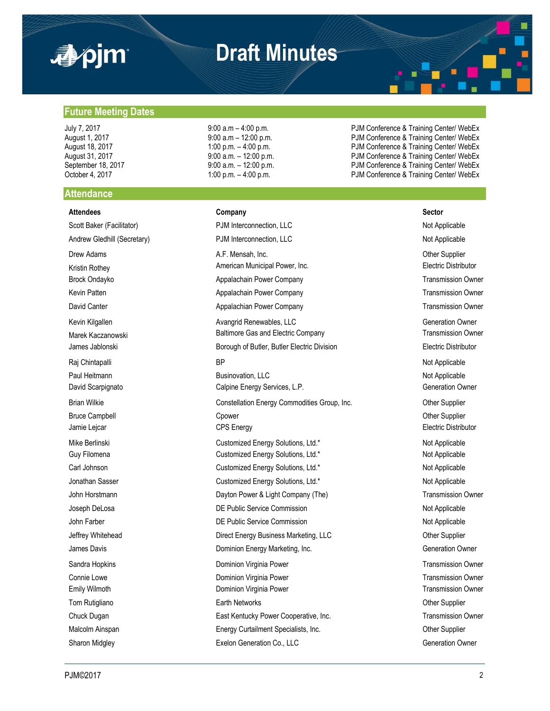

## **Draft Minutes**

**Future Meeting Dates**

#### **Attendance**

**Attendees Company Sector**

Sharon Midgley **Sharon Midgley** Exelon Generation Co., LLC **Contract Construction Construction Owner** 

July 7, 2017 **19:00 a.m – 4:00 p.m.** PJM Conference & Training Center/ WebEx<br>August 1, 2017 **19:00 a.m – 12:00 p.m.** PJM Conference & Training Center/ WebEx August 1, 2017 **1.1 Conference & Training Center/ WebEx**<br>August 18, 2017 **1:00 p.m.** - 4:00 p.m. PUM Conference & Training Center/ WebEx PJM Conference & Training Center/ WebEx August 31, 2017 **19:00 a.m.** – 12:00 p.m. **PJM Conference & Training Center/ WebEx** September 18, 2017 **9:00 a.m.** – 12:00 p.m. **PJM Conference & Training Center/ WebEx** October 4, 2017 **1:00 p.m.** – 4:00 p.m. **PJM Conference & Training Center/ WebEx** 

Scott Baker (Facilitator) **PJM Interconnection, LLC** Not Applicable Not Applicable Andrew Gledhill (Secretary) **PJM Interconnection, LLC** Not Applicable Not Applicable Drew Adams **A.F. Mensah, Inc. Character Adams** Other Supplier Kristin Rothey **American Municipal Power, Inc.** American Municipal Power, Inc. **Electric Distributor** Brock Ondayko **Appalachain Power Company Transmission Owner** Transmission Owner Kevin Patten **Appalachain Power Company Company** Transmission Owner Company Transmission Owner David Canter **Appalachian Power Company Company** Transmission Owner Company Transmission Owner Kevin Kilgallen **Avangrid Renewables, LLC** Avangrid Renewables, LLC **CONFINITIES** Contraction Owner Marek Kaczanowski **Marek Kaczanowski** Baltimore Gas and Electric Company Transmission Owner James Jablonski Summann Borough of Butler, Butler Electric Division Electric Distributor Raj Chintapalli BP Not Applicable Paul Heitmann **Businovation, LLC Businovation, LLC** Not Applicable David Scarpignato **Calpine Energy Services, L.P.** Generation Owner Generation Owner Brian Wilkie **Constellation Energy Commodities Group**, Inc. Commodities Group, Inc. Cher Supplier Bruce Campbell **Champbell** Cpower Communication Communication Communication Communication Communication Communication Communication Communication Communication Communication Communication Communication Communication Commun Jamie Lejcar **CPS** Energy **CPS** Energy **CPS** Energy **Electric Distributor** Mike Berlinski **Nicholas Customized Energy Solutions**, Ltd.\* Not Applicable Not Applicable Guy Filomena **Customized Energy Solutions, Ltd.\*** Not Applicable Not Applicable Carl Johnson **Customized Energy Solutions, Ltd.\*** Not Applicable Not Applicable Jonathan Sasser **Customized Energy Solutions, Ltd.\*** Not Applicable Not Applicable John Horstmann **Dayton Power & Light Company (The)** Transmission Owner Company (The Company Company Company Company Company Company Company Company Company Company Company Company Company Company Company Company Company Co Joseph DeLosa **DE Public Service Commission** DE Public Service Commission Not Applicable John Farber **DE Public Service Commission** Commission Not Applicable Jeffrey Whitehead **Direct Energy Business Marketing, LLC Direct Energy Business Marketing, LLC** Other Supplier James Davis **Dominion Energy Marketing, Inc.** Change Companies Dominion Energy Marketing, Inc. Sandra Hopkins **Sandra Hopkins** Dominion Virginia Power **Transmission Owner** Transmission Owner Connie Lowe **Connie Lowe Dominion Virginia Power Transmission Owner Transmission Owner** Emily Wilmoth **Dominical Virginia Power Communist Communist Communist Communist Communist Communist Communist Communist Communist Communist Communist Communist Communist Communist Communist Communist Communist Communist** Tom Rutigliano **Earth Networks** Character Character Character Character Character Character Character Character Character Character Character Character Character Character Character Character Character Character Character Chuck Dugan East Kentucky Power Cooperative, Inc. Transmission Owner Malcolm Ainspan **Energy Curtailment Specialists, Inc.** Chronic Communisty Curtailment Specialists, Inc. Chronic Communisty Communisty Communisty Communisty Communisty Communisty Communisty Communisty Communisty Communisty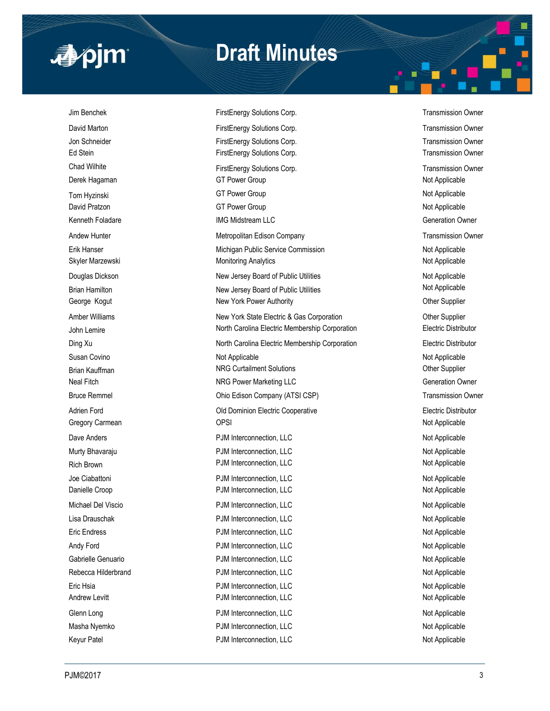

## **Draft Minutes**

Jim Benchek FirstEnergy Solutions Corp. Transmission Owner David Marton **FirstEnergy Solutions Corp.** Transmission Owner Corp. Transmission Owner Jon Schneider **FirstEnergy Solutions Corp.** Transmission Owner Corp. Transmission Owner Ed Stein FirstEnergy Solutions Corp. Transmission Owner Corp. Transmission Owner Chad Wilhite **FirstEnergy Solutions Corp.** Chad Wilhite **FirstEnergy Solutions Corp.** Transmission Owner Derek Hagaman GT Power Group Not Applicable Not Applicable Tom Hyzinski Not Applicable GT Power Group Not Applicable Not Applicable David Pratzon **COLL Accord COVERTS COVERTS** GT Power Group Not Applicable Not Applicable Kenneth Foladare **IMG Midstream LLC** Generation Owner Andew Hunter **Metropolitan Edison Company Company** Transmission Owner Erik Hanser Nichigan Public Service Commission Not Applicable Not Applicable Skyler Marzewski **Monitoring Analytics** Monitoring Analytics **Not Applicable** Not Applicable Douglas Dickson **New Youglas Dickson** New Jersey Board of Public Utilities Not Applicable Brian Hamilton New Jersey Board of Public Utilities Not Applicable George Kogut **New York Power Authority New York Power Authority New York Power Authority Other Supplier** Amber Williams **New York State Electric & Gas Corporation** Other Supplier John Lemire **North Carolina Electric Membership Corporation** Electric Distributor Ding Xu **North Carolina Electric Membership Corporation** Electric Distributor Electric Distributor Susan Covino **Not Applicable** Not Applicable **Not Applicable** Not Applicable Not Applicable Not Applicable Brian Kauffman Natur Content Content Colutions and Content Columbus Content Content Content Content Content Content Content Content Content Content Content Content Content Content Content Content Content Content Content Co Neal Fitch **NRG Power Marketing LLC** NRG Power Marketing LLC Bruce Remmel **Example 2018** Ohio Edison Company (ATSI CSP) **Transmission Owner** Company (ATSI CSP) Adrien Ford **Adrien Ford COLO EXAMPLE ELECTRIC Cooperative Cooperative Electric Distributor Electric Distributor** Gregory Carmean **Carry Carmean** OPSI **Carry Carmean** OPSI **Not Applicable** Dave Anders Not Applicable **PJM Interconnection, LLC** Not Applicable Not Applicable Murty Bhavaraju **Number 2018** PJM Interconnection, LLC Not Applicable Not Applicable Rich Brown **PJM Interconnection, LLC** Not Applicable Not Applicable Joe Ciabattoni **Not Applicable** PJM Interconnection, LLC Not Applicable Not Applicable Danielle Croop **PJM Interconnection, LLC** Not Applicable Not Applicable Michael Del Viscio **Nichael Del Viscio** PJM Interconnection, LLC Not Applicable Not Applicable Lisa Drauschak **Not Applicable** PJM Interconnection, LLC Not Applicable Not Applicable Eric Endress **PJM Interconnection, LLC** Not Applicable Not Applicable Andy Ford Not Applicable PJM Interconnection, LLC Not Applicable Not Applicable Gabrielle Genuario **PJM Interconnection, LLC** CHAPTER Applicable Not Applicable Rebecca Hilderbrand **PJM Interconnection, LLC** Not Applicable Not Applicable Eric Hsia Not Applicable **PJM Interconnection, LLC** Not Applicable Not Applicable Andrew Levitt **Andrew Levitt** PJM Interconnection, LLC **Andrew Levitt** Not Applicable Glenn Long Not Applicable PJM Interconnection, LLC Not Applicable Not Applicable Masha Nyemko **PJM Interconnection, LLC** Not Applicable Not Applicable Keyur Patel Not Applicable PJM Interconnection, LLC Not Applicable Not Applicable